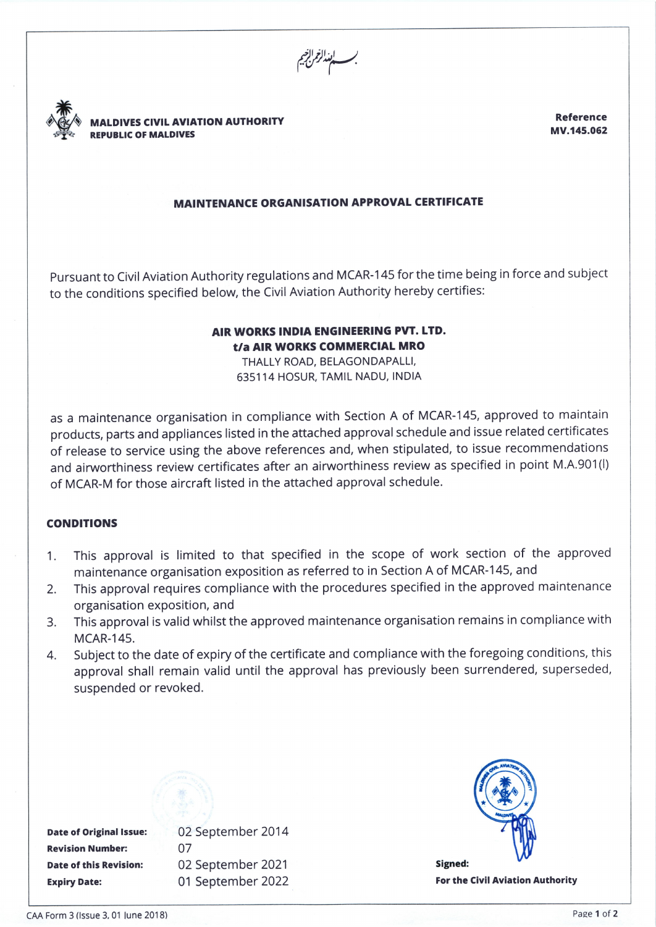**MALDIVES CIVIL AVIATION AUTHORITY** REPUBLIC OF MALDIVES

Reference MV.145.062

# MA!NTENANCE ORGANISATION APPROVAL CERTIFICATE

pursuant to Civil Aviation Authority regulations and MCAR-1 45 for the time being in force and subject to the conditions specified below, the Civil Aviation Authority hereby certifies:

### AIRWORKS INDIA ENGINEERING PvT. LTD. t/a AIR WORKS COMMERCIAL MRO

THALLY ROAD, BELAGONDAPALLI, 635114 HOSUR, TAMIL NADU, INDIA

as a maintenance organisation in compliance with Section A of MCAR-145, approved to maintain products, parts and appliances listed in the attached approval schedule and issue related certificates of release to service using the above references and, when stipulated, to issue recommendations and airworthiness review certificates after an airworthiness review as specified in point M.A.901(l) of MCAR-M for those aircraft listed in the attached approval schedule.

## CONDITIONS

- 1. This approval is limited to that specified in the scope of work section of the approved maintenance organisation exposition as referred to in Section A of MCAR-145, and
- 2. This approval requires compliance with the procedures specified in the approved maintenance organisation exposition, and
- 3. This approval is valid whilst the approved maintenance organisation remains in compliance with MCAR-145.
- 4. Subject to the date of expiry of the certificate and compliance with the foregoing conditions, this approval shall remain valid until the approval has previously been surrendered, superseded, suspended or revoked.

Date of Original Issue: 02 September 2014 Revision Number: <sup>07</sup> Expiry Date: 01 September 2022

Date of this Revision: 02 September 2021



For the Civil Aviation Authority

CAA Form 3 (Issue 3, 01 June 2018) **Pase 1 of 2** Pase 1 of 2